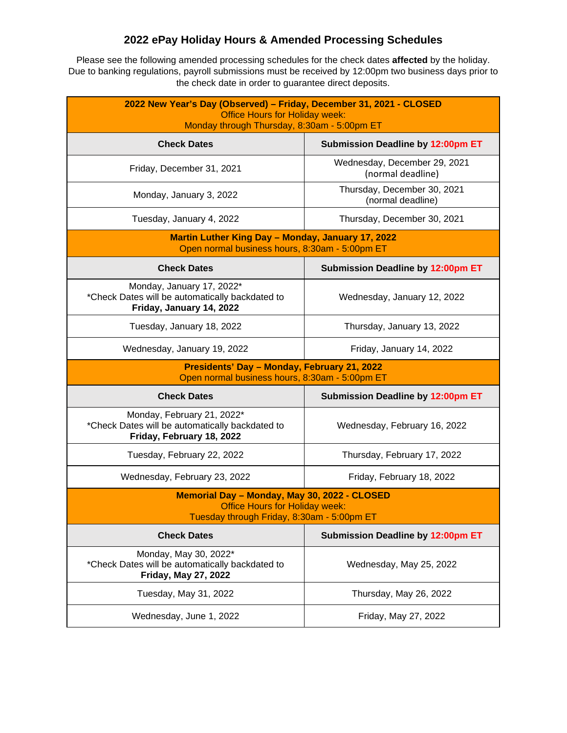## **2022 ePay Holiday Hours & Amended Processing Schedules**

Please see the following amended processing schedules for the check dates **affected** by the holiday. Due to banking regulations, payroll submissions must be received by 12:00pm two business days prior to the check date in order to guarantee direct deposits.

| 2022 New Year's Day (Observed) - Friday, December 31, 2021 - CLOSED<br><b>Office Hours for Holiday week:</b><br>Monday through Thursday, 8:30am - 5:00pm ET |                                                   |  |
|-------------------------------------------------------------------------------------------------------------------------------------------------------------|---------------------------------------------------|--|
| <b>Check Dates</b>                                                                                                                                          | <b>Submission Deadline by 12:00pm ET</b>          |  |
| Friday, December 31, 2021                                                                                                                                   | Wednesday, December 29, 2021<br>(normal deadline) |  |
| Monday, January 3, 2022                                                                                                                                     | Thursday, December 30, 2021<br>(normal deadline)  |  |
| Tuesday, January 4, 2022                                                                                                                                    | Thursday, December 30, 2021                       |  |
| <b>Martin Luther King Day - Monday, January 17, 2022</b><br>Open normal business hours, 8:30am - 5:00pm ET                                                  |                                                   |  |
| <b>Check Dates</b>                                                                                                                                          | <b>Submission Deadline by 12:00pm ET</b>          |  |
| Monday, January 17, 2022*<br>*Check Dates will be automatically backdated to<br>Friday, January 14, 2022                                                    | Wednesday, January 12, 2022                       |  |
| Tuesday, January 18, 2022                                                                                                                                   | Thursday, January 13, 2022                        |  |
| Wednesday, January 19, 2022                                                                                                                                 | Friday, January 14, 2022                          |  |
| Presidents' Day - Monday, February 21, 2022<br>Open normal business hours, 8:30am - 5:00pm ET                                                               |                                                   |  |
| <b>Check Dates</b>                                                                                                                                          | <b>Submission Deadline by 12:00pm ET</b>          |  |
| Monday, February 21, 2022*<br>*Check Dates will be automatically backdated to<br>Friday, February 18, 2022                                                  | Wednesday, February 16, 2022                      |  |
| Tuesday, February 22, 2022                                                                                                                                  | Thursday, February 17, 2022                       |  |
| Wednesday, February 23, 2022                                                                                                                                | Friday, February 18, 2022                         |  |
| Memorial Day - Monday, May 30, 2022 - CLOSED<br><b>Office Hours for Holiday week:</b><br>Tuesday through Friday, 8:30am - 5:00pm ET                         |                                                   |  |
|                                                                                                                                                             |                                                   |  |
| <b>Check Dates</b>                                                                                                                                          | <b>Submission Deadline by 12:00pm ET</b>          |  |
| Monday, May 30, 2022*<br>*Check Dates will be automatically backdated to<br>Friday, May 27, 2022                                                            | Wednesday, May 25, 2022                           |  |
| Tuesday, May 31, 2022                                                                                                                                       | Thursday, May 26, 2022                            |  |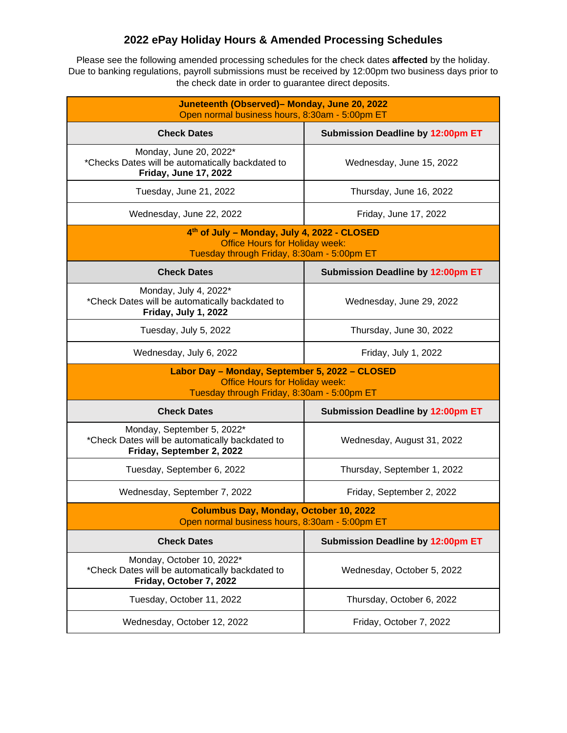## **2022 ePay Holiday Hours & Amended Processing Schedules**

Please see the following amended processing schedules for the check dates **affected** by the holiday. Due to banking regulations, payroll submissions must be received by 12:00pm two business days prior to the check date in order to guarantee direct deposits.

| Juneteenth (Observed)- Monday, June 20, 2022<br>Open normal business hours, 8:30am - 5:00pm ET                                        |                                   |  |
|---------------------------------------------------------------------------------------------------------------------------------------|-----------------------------------|--|
| <b>Check Dates</b>                                                                                                                    | Submission Deadline by 12:00pm ET |  |
| Monday, June 20, 2022*<br>*Checks Dates will be automatically backdated to<br><b>Friday, June 17, 2022</b>                            | Wednesday, June 15, 2022          |  |
| Tuesday, June 21, 2022                                                                                                                | Thursday, June 16, 2022           |  |
| Wednesday, June 22, 2022                                                                                                              | Friday, June 17, 2022             |  |
| 4th of July - Monday, July 4, 2022 - CLOSED<br><b>Office Hours for Holiday week:</b><br>Tuesday through Friday, 8:30am - 5:00pm ET    |                                   |  |
| <b>Check Dates</b>                                                                                                                    | Submission Deadline by 12:00pm ET |  |
| Monday, July 4, 2022*<br>*Check Dates will be automatically backdated to<br>Friday, July 1, 2022                                      | Wednesday, June 29, 2022          |  |
| Tuesday, July 5, 2022                                                                                                                 | Thursday, June 30, 2022           |  |
| Wednesday, July 6, 2022                                                                                                               | Friday, July 1, 2022              |  |
| Labor Day - Monday, September 5, 2022 - CLOSED<br><b>Office Hours for Holiday week:</b><br>Tuesday through Friday, 8:30am - 5:00pm ET |                                   |  |
| <b>Check Dates</b>                                                                                                                    | Submission Deadline by 12:00pm ET |  |
| Monday, September 5, 2022*<br>*Check Dates will be automatically backdated to<br>Friday, September 2, 2022                            | Wednesday, August 31, 2022        |  |
| Tuesday, September 6, 2022                                                                                                            | Thursday, September 1, 2022       |  |
| Wednesday, September 7, 2022                                                                                                          | Friday, September 2, 2022         |  |
| <b>Columbus Day, Monday, October 10, 2022</b><br>Open normal business hours, 8:30am - 5:00pm ET                                       |                                   |  |
| <b>Check Dates</b>                                                                                                                    | Submission Deadline by 12:00pm ET |  |
| Monday, October 10, 2022*<br>*Check Dates will be automatically backdated to<br>Friday, October 7, 2022                               | Wednesday, October 5, 2022        |  |
| Tuesday, October 11, 2022                                                                                                             | Thursday, October 6, 2022         |  |
| Wednesday, October 12, 2022                                                                                                           | Friday, October 7, 2022           |  |